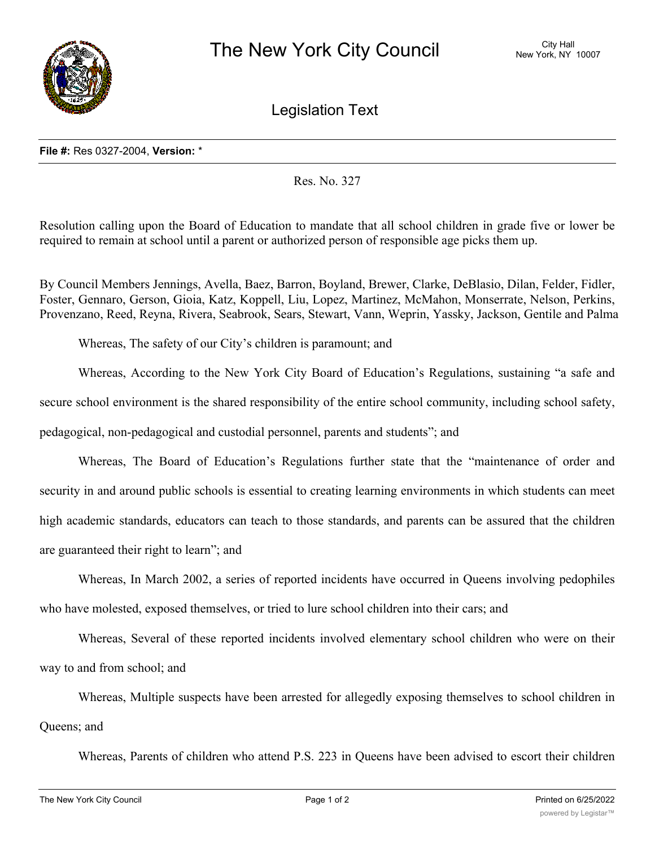

Legislation Text

Res. No. 327

Resolution calling upon the Board of Education to mandate that all school children in grade five or lower be required to remain at school until a parent or authorized person of responsible age picks them up.

By Council Members Jennings, Avella, Baez, Barron, Boyland, Brewer, Clarke, DeBlasio, Dilan, Felder, Fidler, Foster, Gennaro, Gerson, Gioia, Katz, Koppell, Liu, Lopez, Martinez, McMahon, Monserrate, Nelson, Perkins, Provenzano, Reed, Reyna, Rivera, Seabrook, Sears, Stewart, Vann, Weprin, Yassky, Jackson, Gentile and Palma

Whereas, The safety of our City's children is paramount; and

Whereas, According to the New York City Board of Education's Regulations, sustaining "a safe and secure school environment is the shared responsibility of the entire school community, including school safety, pedagogical, non-pedagogical and custodial personnel, parents and students"; and

Whereas, The Board of Education's Regulations further state that the "maintenance of order and security in and around public schools is essential to creating learning environments in which students can meet high academic standards, educators can teach to those standards, and parents can be assured that the children are guaranteed their right to learn"; and

Whereas, In March 2002, a series of reported incidents have occurred in Queens involving pedophiles who have molested, exposed themselves, or tried to lure school children into their cars; and

Whereas, Several of these reported incidents involved elementary school children who were on their way to and from school; and

Whereas, Multiple suspects have been arrested for allegedly exposing themselves to school children in Queens; and

Whereas, Parents of children who attend P.S. 223 in Queens have been advised to escort their children